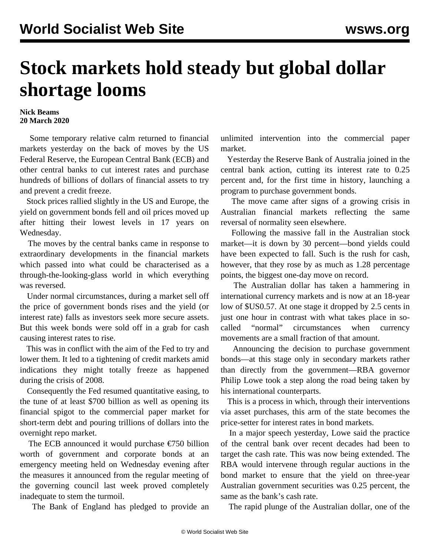## **Stock markets hold steady but global dollar shortage looms**

## **Nick Beams 20 March 2020**

 Some temporary relative calm returned to financial markets yesterday on the back of moves by the US Federal Reserve, the European Central Bank (ECB) and other central banks to cut interest rates and purchase hundreds of billions of dollars of financial assets to try and prevent a credit freeze.

 Stock prices rallied slightly in the US and Europe, the yield on government bonds fell and oil prices moved up after hitting their lowest levels in 17 years on Wednesday.

 The moves by the central banks came in response to extraordinary developments in the financial markets which passed into what could be characterised as a through-the-looking-glass world in which everything was reversed.

 Under normal circumstances, during a market sell off the price of government bonds rises and the yield (or interest rate) falls as investors seek more secure assets. But this week bonds were sold off in a grab for cash causing interest rates to rise.

 This was in conflict with the aim of the Fed to try and lower them. It led to a tightening of credit markets amid indications they might totally freeze as happened during the crisis of 2008.

 Consequently the Fed resumed quantitative easing, to the tune of at least \$700 billion as well as opening its financial spigot to the commercial paper market for short-term debt and pouring trillions of dollars into the overnight repo market.

 The ECB announced it would purchase €750 billion worth of government and corporate bonds at an emergency meeting held on Wednesday evening after the measures it announced from the regular meeting of the governing council last week proved completely inadequate to stem the turmoil.

The Bank of England has pledged to provide an

unlimited intervention into the commercial paper market.

 Yesterday the Reserve Bank of Australia joined in the central bank action, cutting its interest rate to 0.25 percent and, for the first time in history, launching a program to purchase government bonds.

 The move came after signs of a growing crisis in Australian financial markets reflecting the same reversal of normality seen elsewhere.

 Following the massive fall in the Australian stock market—it is down by 30 percent—bond yields could have been expected to fall. Such is the rush for cash, however, that they rose by as much as 1.28 percentage points, the biggest one-day move on record.

 The Australian dollar has taken a hammering in international currency markets and is now at an 18-year low of \$US0.57. At one stage it dropped by 2.5 cents in just one hour in contrast with what takes place in socalled "normal" circumstances when currency movements are a small fraction of that amount.

 Announcing the decision to purchase government bonds—at this stage only in secondary markets rather than directly from the government—RBA governor Philip Lowe took a step along the road being taken by his international counterparts.

 This is a process in which, through their interventions via asset purchases, this arm of the state becomes the price-setter for interest rates in bond markets.

 In a major speech yesterday, Lowe said the practice of the central bank over recent decades had been to target the cash rate. This was now being extended. The RBA would intervene through regular auctions in the bond market to ensure that the yield on three-year Australian government securities was 0.25 percent, the same as the bank's cash rate.

The rapid plunge of the Australian dollar, one of the